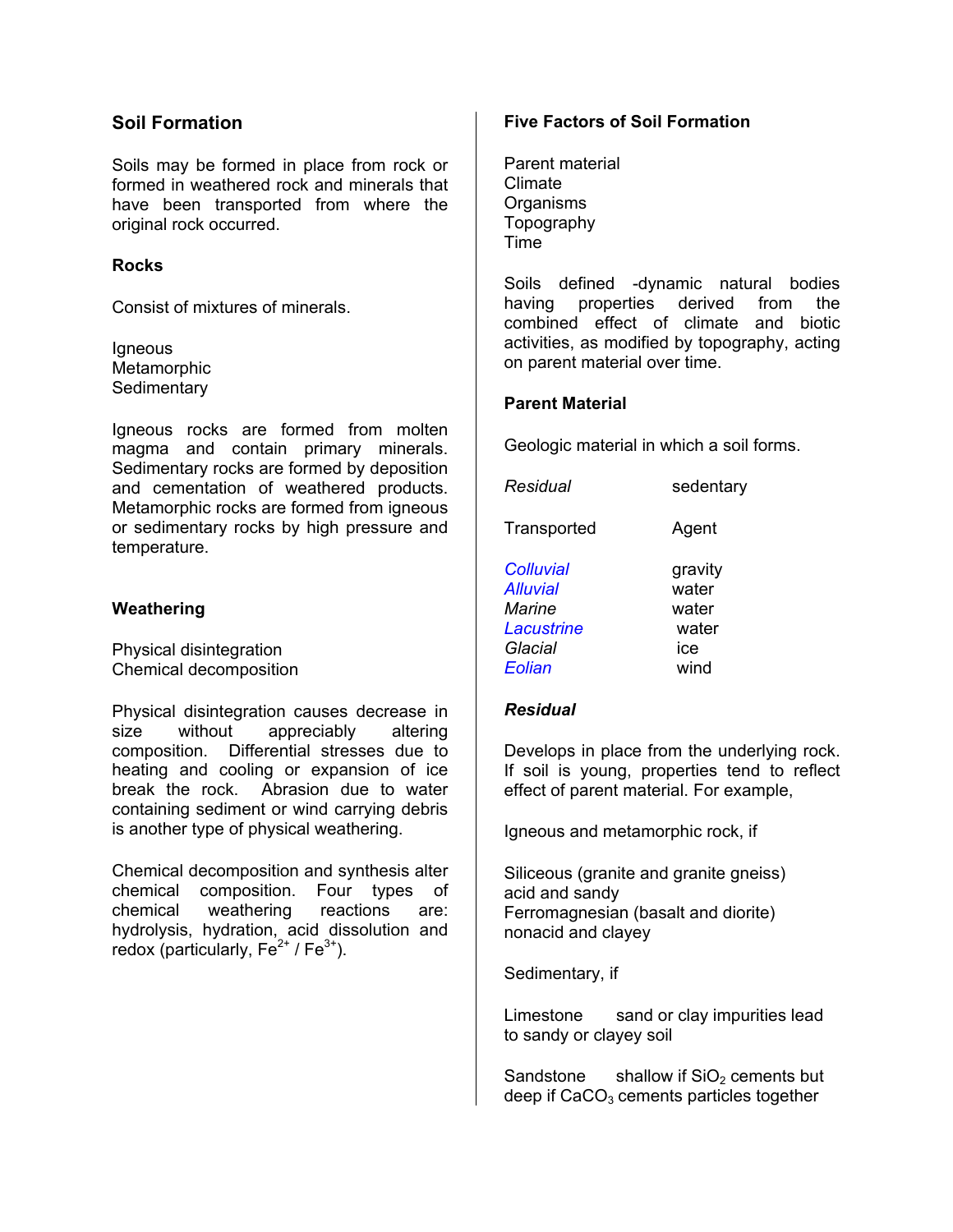#### **Soil Formation**

Soils may be formed in place from rock or formed in weathered rock and minerals that have been transported from where the original rock occurred.

#### **Rocks**

Consist of mixtures of minerals.

**Igneous** Metamorphic **Sedimentary** 

Igneous rocks are formed from molten magma and contain primary minerals. Sedimentary rocks are formed by deposition and cementation of weathered products. Metamorphic rocks are formed from igneous or sedimentary rocks by high pressure and temperature.

#### **Weathering**

Physical disintegration Chemical decomposition

Physical disintegration causes decrease in size without appreciably altering composition. Differential stresses due to heating and cooling or expansion of ice break the rock. Abrasion due to water containing sediment or wind carrying debris is another type of physical weathering.

Chemical decomposition and synthesis alter chemical composition. Four types of chemical weathering reactions are: hydrolysis, hydration, acid dissolution and redox (particularly,  $Fe^{2+}$  /  $Fe^{3+}$ ).

#### **Five Factors of Soil Formation**

Parent material Climate Organisms Topography Time

Soils defined -dynamic natural bodies having properties derived from the combined effect of climate and biotic activities, as modified by topography, acting on parent material over time.

#### **Parent Material**

Geologic material in which a soil forms.

| Residual                                                        | sedentary                                 |
|-----------------------------------------------------------------|-------------------------------------------|
| Transported                                                     | Agent                                     |
| Colluvial<br><b>Alluvial</b><br>Marine<br>Lacustrine<br>Glacial | gravity<br>water<br>water<br>water<br>ice |
| Eolian                                                          | wind                                      |

#### *Residual*

Develops in place from the underlying rock. If soil is young, properties tend to reflect effect of parent material. For example,

Igneous and metamorphic rock, if

Siliceous (granite and granite gneiss) acid and sandy Ferromagnesian (basalt and diorite) nonacid and clayey

Sedimentary, if

Limestone sand or clay impurities lead to sandy or clayey soil

Sandstone shallow if  $SiO<sub>2</sub>$  cements but deep if  $CaCO<sub>3</sub>$  cements particles together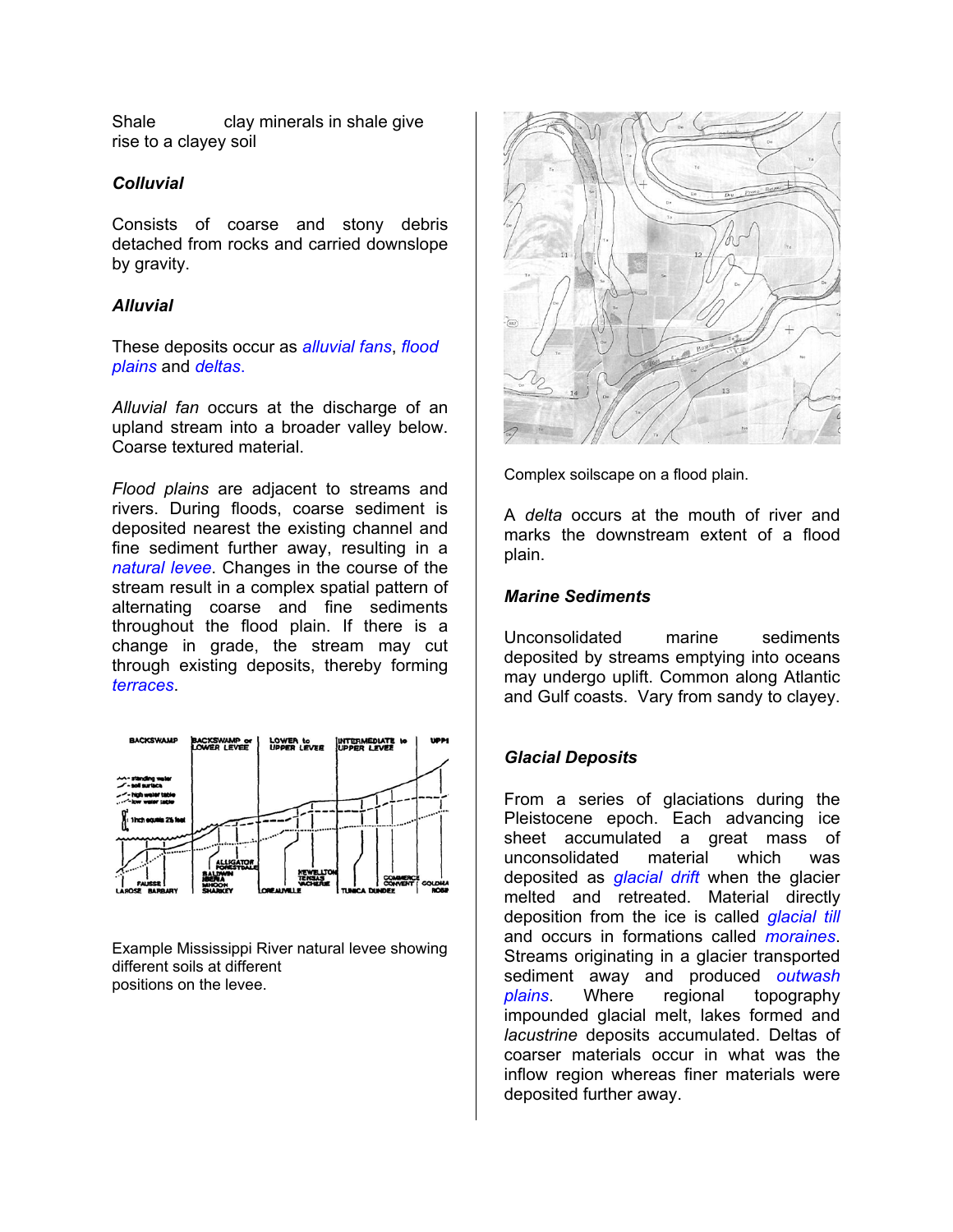Shale clay minerals in shale give rise to a clayey soil

#### *Colluvial*

Consists of coarse and stony debris detached from rocks and carried downslope by gravity.

#### *Alluvial*

These deposits occur as *alluvial fans*, *flood plains* and *deltas*.

*Alluvial fan* occurs at the discharge of an upland stream into a broader valley below. Coarse textured material.

Complex soilscape on a flood plain. *Flood plains* are adjacent to streams and rivers. During floods, coarse sediment is deposited nearest the existing channel and fine sediment further away, resulting in a *natural levee*. Changes in the course of the stream result in a complex spatial pattern of alternating coarse and fine sediments throughout the flood plain. If there is a change in grade, the stream may cut through existing deposits, thereby forming *terraces*.



Example Mississippi River natural levee showing different soils at different positions on the levee.



A *delta* occurs at the mouth of river and marks the downstream extent of a flood plain.

#### *Marine Sediments*

Unconsolidated marine sediments deposited by streams emptying into oceans may undergo uplift. Common along Atlantic and Gulf coasts. Vary from sandy to clayey.

#### *Glacial Deposits*

From a series of glaciations during the Pleistocene epoch. Each advancing ice sheet accumulated a great mass of unconsolidated material which was deposited as *glacial drift* when the glacier melted and retreated. Material directly deposition from the ice is called *glacial till* and occurs in formations called *moraines*. Streams originating in a glacier transported sediment away and produced *outwash plains*. Where regional topography impounded glacial melt, lakes formed and *lacustrine* deposits accumulated. Deltas of coarser materials occur in what was the inflow region whereas finer materials were deposited further away.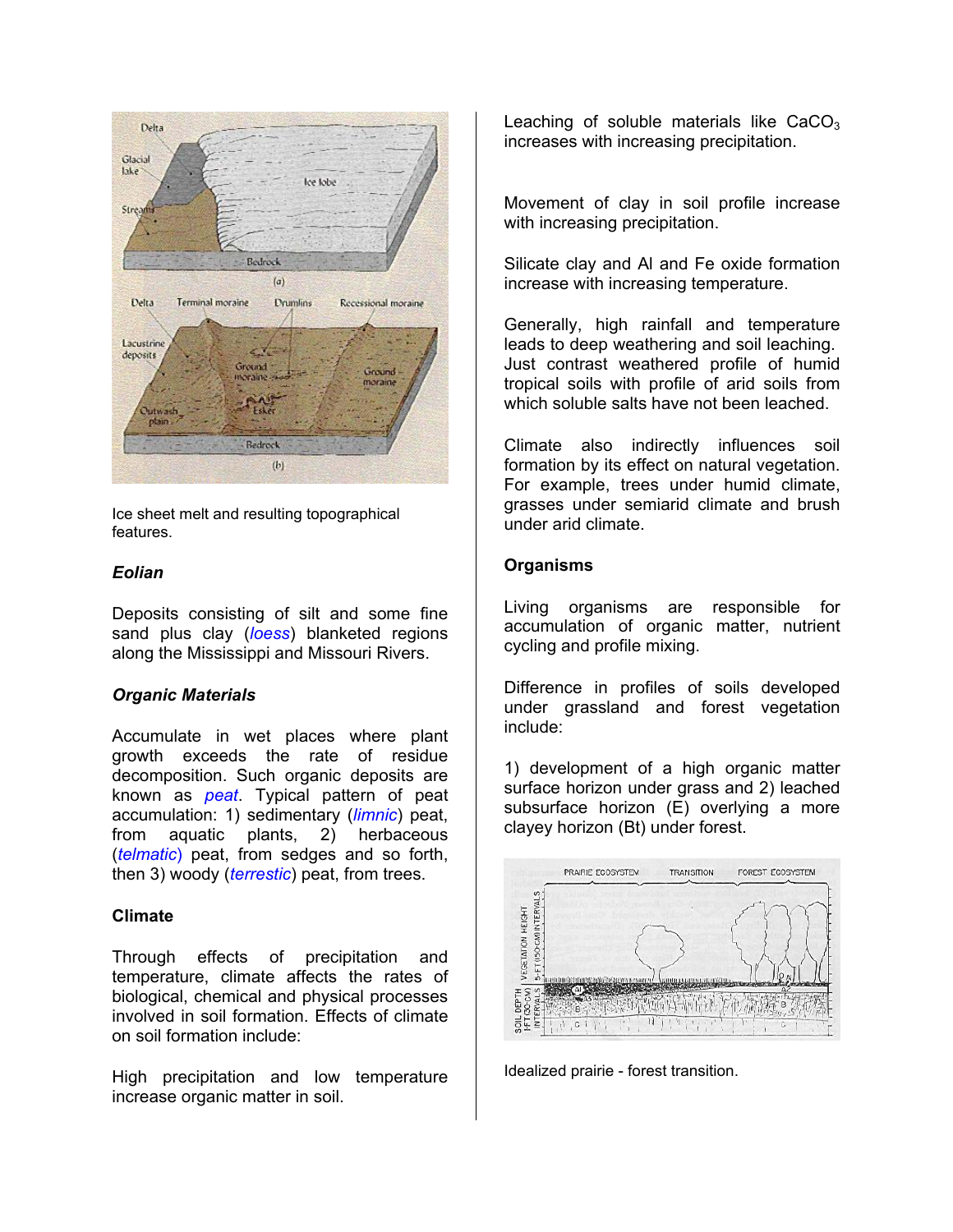

lce sheet melt and resulting topographical and resulting topographical and results in the set features.

Deposits consisting of silt and some fine sand plus clay (*loess*) blanketed regions along the Mississippi and Missouri Rivers.

#### *Organic Materials*

Accumulate in wet places where plant growth exceeds the rate of residue decomposition. Such organic deposits are known as *peat*. Typical pattern of peat accumulation: 1) sedimentary (*limnic*) peat, from aquatic plants, 2) herbaceous (*telmatic*) peat, from sedges and so forth, then 3) woody (*terrestic*) peat, from trees.

#### **Climate**

Through effects of precipitation and temperature, climate affects the rates of biological, chemical and physical processes involved in soil formation. Effects of climate on soil formation include:

High precipitation and low temperature increase organic matter in soil.

Leaching of soluble materials like  $CaCO<sub>3</sub>$ increases with increasing precipitation.

Movement of clay in soil profile increase with increasing precipitation.

Silicate clay and Al and Fe oxide formation increase with increasing temperature.

Generally, high rainfall and temperature leads to deep weathering and soil leaching. Just contrast weathered profile of humid tropical soils with profile of arid soils from which soluble salts have not been leached.

Climate also indirectly influences soil formation by its effect on natural vegetation. For example, trees under humid climate, grasses under semiarid climate and brush

### **Organisms** *Eolian*

Living organisms are responsible for accumulation of organic matter, nutrient cycling and profile mixing.

Difference in profiles of soils developed under grassland and forest vegetation include:

1) development of a high organic matter surface horizon under grass and 2) leached subsurface horizon (E) overlying a more clayey horizon (Bt) under forest.



Idealized prairie - forest transition.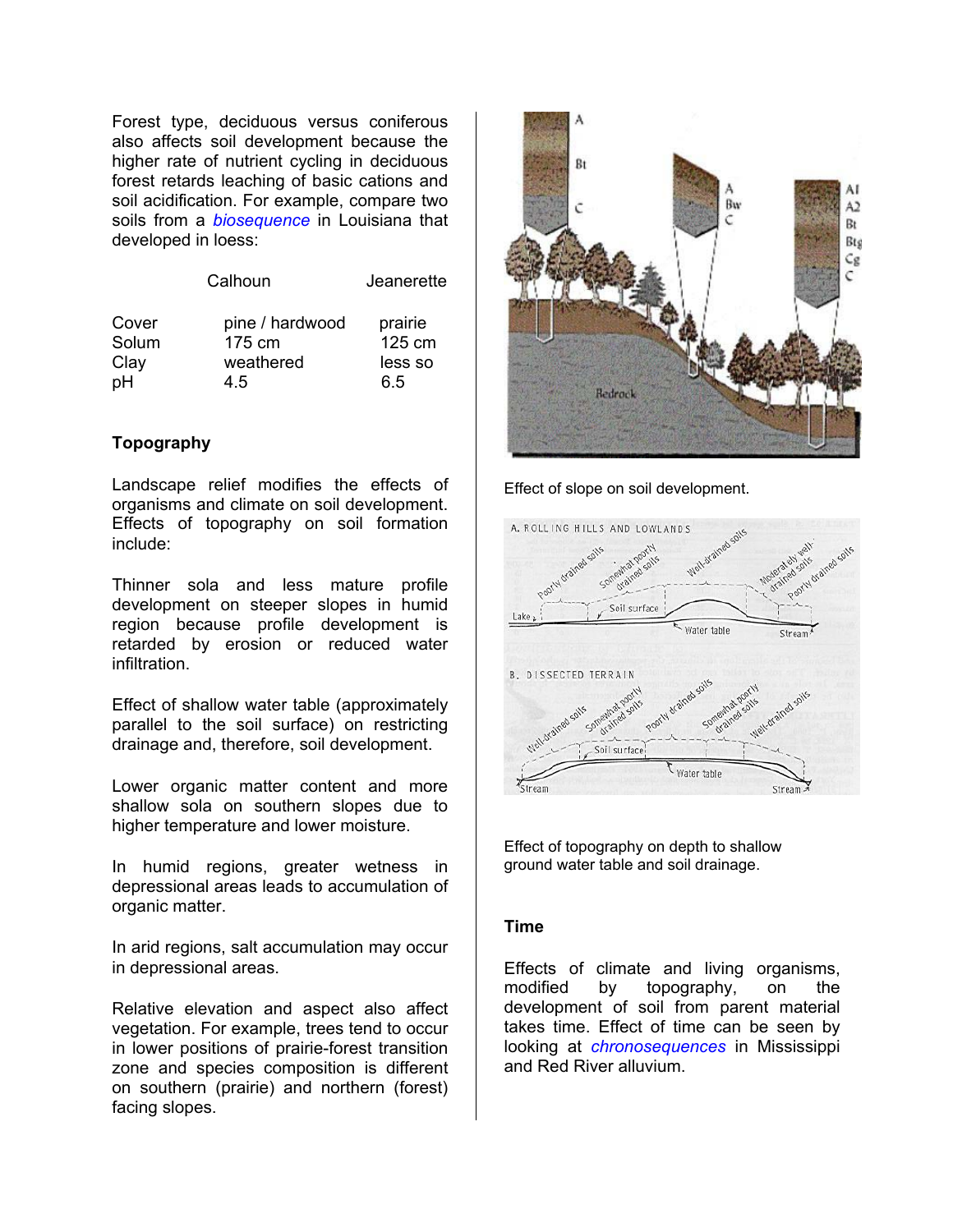Forest type, deciduous versus coniferous also affects soil development because the higher rate of nutrient cycling in deciduous forest retards leaching of basic cations and soil acidification. For example, compare two soils from a *biosequence* in Louisiana that developed in loess:

| Calhoun |                 | Jeanerette |  |
|---------|-----------------|------------|--|
| Cover   | pine / hardwood | prairie    |  |
| Solum   | 175 cm          | 125 cm     |  |
| Clay    | weathered       | less so    |  |
| рH      | 4.5             | 6.5        |  |

#### **Topography**

Landscape relief modifies the effects of organisms and climate on soil development. Effects of topography on soil formation include:

Thinner sola and less mature profile development on steeper slopes in humid region because profile development is retarded by erosion or reduced water infiltration.

Effect of shallow water table (approximately parallel to the soil surface) on restricting drainage and, therefore, soil development.

Lower organic matter content and more shallow sola on southern slopes due to higher temperature and lower moisture.

 In humid regions, greater wetness in depressional areas leads to accumulation of organic matter.

In arid regions, salt accumulation may occur in depressional areas.

Relative elevation and aspect also affect vegetation. For example, trees tend to occur in lower positions of prairie-forest transition zone and species composition is different on southern (prairie) and northern (forest) facing slopes.



Effect of slope on soil development.



Effect of topography on depth to shallow ground water table and soil drainage.

#### **Time**

Effects of climate and living organisms, modified by topography, on the development of soil from parent material takes time. Effect of time can be seen by looking at *chronosequences* in Mississippi and Red River alluvium.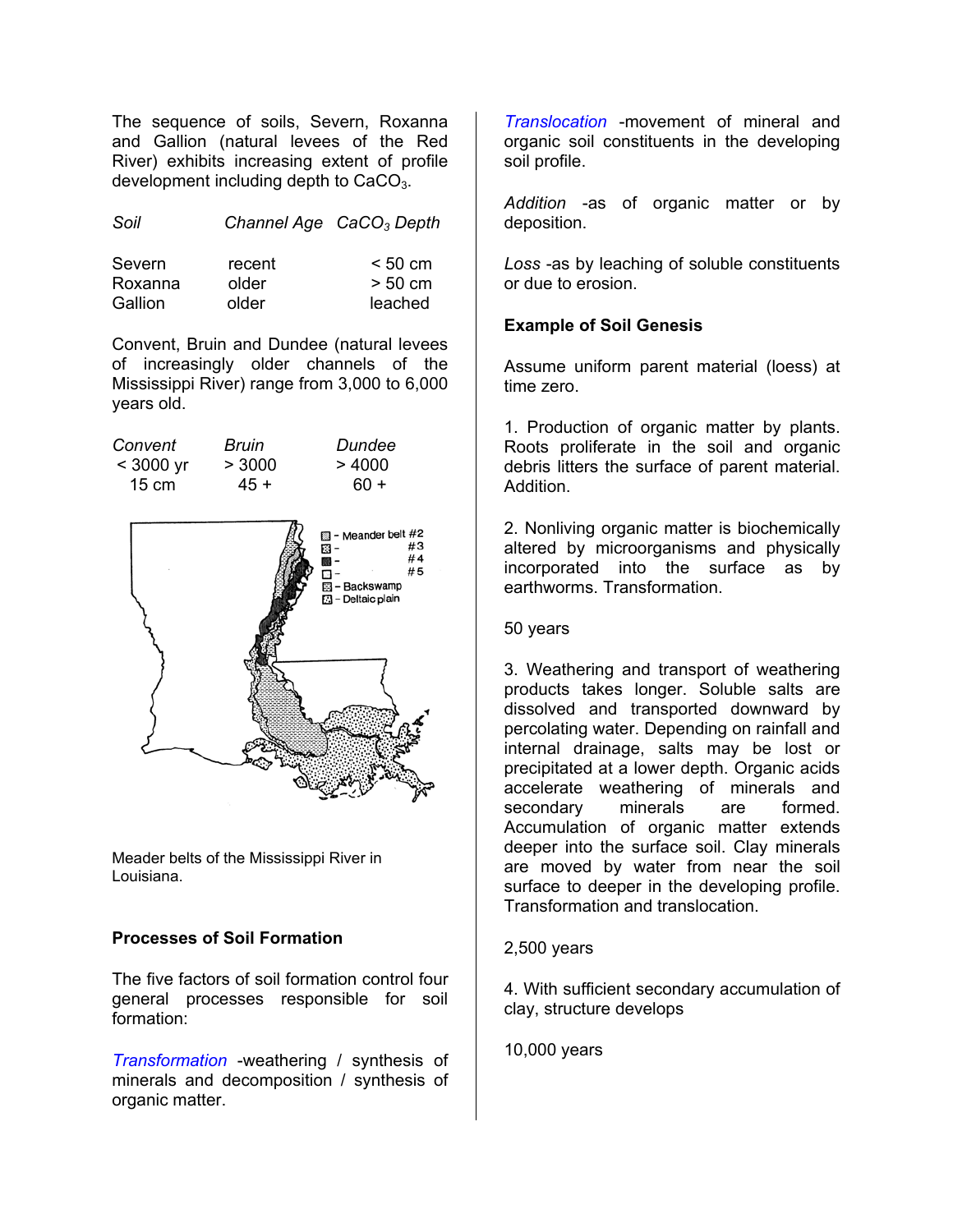The sequence of soils, Severn, Roxanna and Gallion (natural levees of the Red River) exhibits increasing extent of profile development including depth to  $CaCO<sub>3</sub>$ .

| Severn  | recent | < 50 cm           |
|---------|--------|-------------------|
| Roxanna | older  | $> 50 \text{ cm}$ |
| Gallion | older  | leached           |

Convent, Bruin and Dundee (natural levees of increasingly older channels of the Mississippi River) range from 3,000 to 6,000 years old.

| Convent         | Bruin  | Dundee |
|-----------------|--------|--------|
| $<$ 3000 yr     | > 3000 | >4000  |
| $15 \text{ cm}$ | 45 +   | 60 +   |



Meader belts of the Mississippi River in Louisiana.

# **Processes of Soil Formation** 2,500 years

The five factors of soil formation control four general processes responsible for soil formation:

*Transformation* -weathering / synthesis of minerals and decomposition / synthesis of organic matter.

*Translocation* -movement of mineral and organic soil constituents in the developing soil profile.

*Addition* -as of organic matter or by *Soil Channel Age CaCO3 Depth* deposition.

> *Loss* -as by leaching of soluble constituents or due to erosion.

### **Example of Soil Genesis**

Assume uniform parent material (loess) at time zero.

1. Production of organic matter by plants. Roots proliferate in the soil and organic debris litters the surface of parent material. Addition.

2. Nonliving organic matter is biochemically altered by microorganisms and physically incorporated into the surface as by earthworms. Transformation.

#### 50 years

3. Weathering and transport of weathering products takes longer. Soluble salts are dissolved and transported downward by percolating water. Depending on rainfall and internal drainage, salts may be lost or precipitated at a lower depth. Organic acids accelerate weathering of minerals and secondary minerals are formed. Accumulation of organic matter extends deeper into the surface soil. Clay minerals are moved by water from near the soil surface to deeper in the developing profile. Transformation and translocation.

4. With sufficient secondary accumulation of clay, structure develops

10,000 years